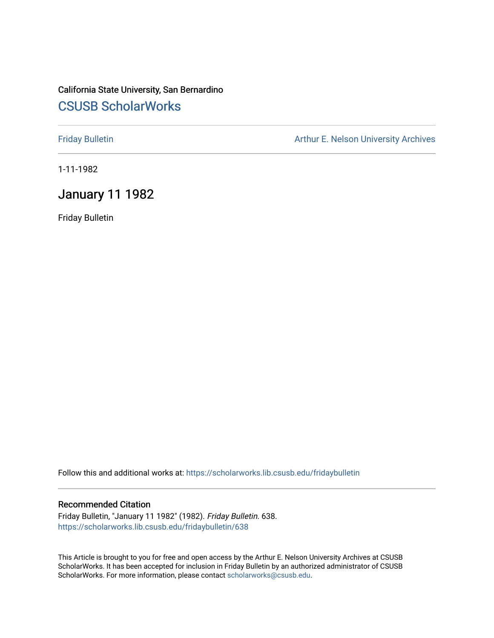## California State University, San Bernardino [CSUSB ScholarWorks](https://scholarworks.lib.csusb.edu/)

[Friday Bulletin](https://scholarworks.lib.csusb.edu/fridaybulletin) **Arthur E. Nelson University Archives** Arthur E. Nelson University Archives

1-11-1982

## January 11 1982

Friday Bulletin

Follow this and additional works at: [https://scholarworks.lib.csusb.edu/fridaybulletin](https://scholarworks.lib.csusb.edu/fridaybulletin?utm_source=scholarworks.lib.csusb.edu%2Ffridaybulletin%2F638&utm_medium=PDF&utm_campaign=PDFCoverPages)

## Recommended Citation

Friday Bulletin, "January 11 1982" (1982). Friday Bulletin. 638. [https://scholarworks.lib.csusb.edu/fridaybulletin/638](https://scholarworks.lib.csusb.edu/fridaybulletin/638?utm_source=scholarworks.lib.csusb.edu%2Ffridaybulletin%2F638&utm_medium=PDF&utm_campaign=PDFCoverPages)

This Article is brought to you for free and open access by the Arthur E. Nelson University Archives at CSUSB ScholarWorks. It has been accepted for inclusion in Friday Bulletin by an authorized administrator of CSUSB ScholarWorks. For more information, please contact [scholarworks@csusb.edu.](mailto:scholarworks@csusb.edu)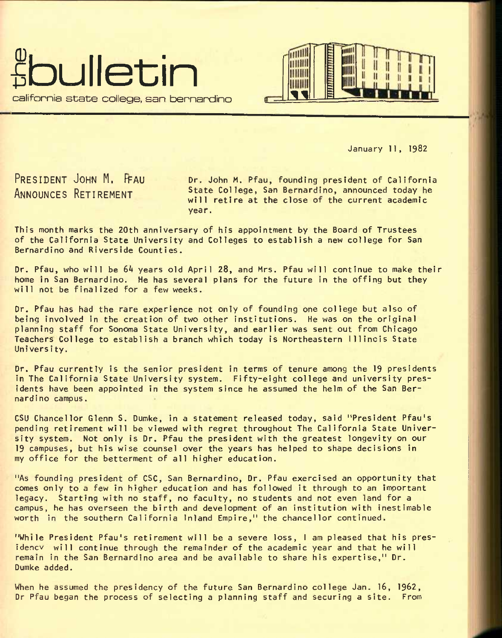



January 11, 1982

**PRESIDENT JOHN M. FFAU ANNOUNCES RETIREMENT** 

Dr. John M. Pfau, founding president of California State College, San Bernardino, announced today he will retire at the close of the current academic year.

This month marks the 20th anniversary of his appointment by the Board of Trustees of the California State University and Colleges to establish a new college for San Bernardino and Riverside Counties.

Dr. Pfau, who will be 64 years old April 28, and Mrs. Pfau will continue to make their home in San Bernardino. He has several plans for the future in the offing but they will not be finalized for a few weeks.

Dr. Pfau has had the rare experience not only of founding one college but also of being involved in the creation of two other institutions. He was on the original planning staff for Sonoma State University, and earlier was sent out from Chicago Teachers College to establish a branch which today is Northeastern Illinois State University.

Dr. Pfau currently is the senior president in terms of tenure among the 19 presidents in The California State University system. Fifty-eight college and university presidents have been appointed in the system since he assumed the helm of the San Bernardino campus.

CSU Chancellor Glenn S. Oumke, in a statement released today, said "President Pfau's pending retirement will be viewed with regret throughout The California State University system. Not only is Dr. Pfau the president with the greatest longevity on our 19 campuses, but his wise counsel over the years has helped to shape decisions in my office for the betterment of all higher education.

"As founding president of CSC, San Bernardino, Dr. Pfau exercised an opportunity that comes only to a few in higher education and has followed it through to an important legacy. Starting with no staff, no faculty, no students and not even land for a campus, he has overseen the birth and development of an institution with inestimable worth in the southern California Inland Empire," the chancellor continued.

"While President Pfau's retirement will be a severe loss, I am pleased that his presidencv will continue through the remainder of the academic year and that he will remain in the San Bernardino area and be available to share his expertise," Dr. Dumke added.

When he assumed the presidency of the future San Bernardino college Jan. 16, 1962, Dr Pfau began the process of selecting a planning staff and securing a site. From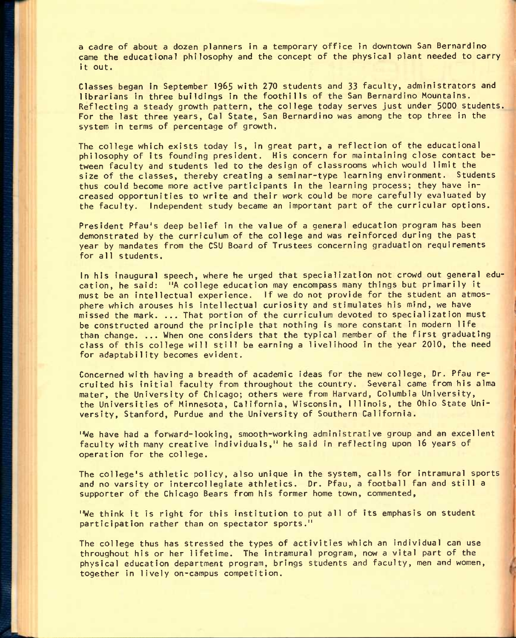a cadre of about a dozen planners in a temporary office in downtown San Bernardino came the educational philosophy and the concept of the physical plant needed to carry it out.

Classes began In September I965 with 270 students and 33 faculty, administrators and librarians in three buildings in the foothills of the San Bernardino Mountains. Reflecting a steady growth pattern, the college today serves just under 5000 students. For the last three years, Gal State, San Bernardino was among the top three in the system In terms of percentage of growth.

The college which exists today is, in great part, a reflection of the educational philosophy of its founding president. His concern for maintaining close contact between faculty and students led to the design of classrooms which would limit the size of the classes, thereby creating a seminar-type learning environment. Students thus could become more active participants in the learning process; they have increased opportunities to write and their work could be more carefully evaluated by the faculty. Independent study became an important part of the curricular options.

President Pfau's deep belief in the value of a general education program has been demonstrated by the curriculum of the college and was reinforced during the past year by mandates from the CSU Board of Trustees concerning graduation requirements for all students.

In his inaugural speech, where he urged that specialization not crowd out general education, he said: "A college education may encompass many things but primarily it must be an intellectual experience. If we do not provide for the student an atmosphere which arouses his intellectual curiosity and stimulates his mind, we have missed the mark. ... That portion of the curriculum devoted to specialization must be constructed around the principle that nothing is more constant in modern life than change. ... When one considers that the typical member of the first graduating class of this college will still be earning a livelihood in the year 2010, the need for adaptability becomes evident.

Concerned with having a breadth of academic ideas for the new college, Dr. Pfau recruited his initial faculty from throughout the country. Several came from his alma mater, the University of Chicago; others were from Harvard, Columbia University, the Universities of Minnesota, California, Wisconsin, Illinois, the Ohio State University, Stanford, Purdue and the University of Southern California.

"We have had a forward-looking, smooth-working administrative group and an excellent faculty with many creative individuals," he said in reflecting upon I6 years of operation for the college.

The college's athletic policy, also unique in the system, calls for intramural sports and no varsity or intercollegiate athletics. Dr. Pfau, a football fan and still a supporter of the Chicago Bears from his former home town, commented,

"We think it is right for this institution to put all of its emphasis on student participation rather than on spectator sports."

The college thus has stressed the types of activities which an individual can use throughout his or her lifetime. The intramural program, now a vital part of the physical education department program, brings students and faculty, men and women, together in lively on-campus competition.